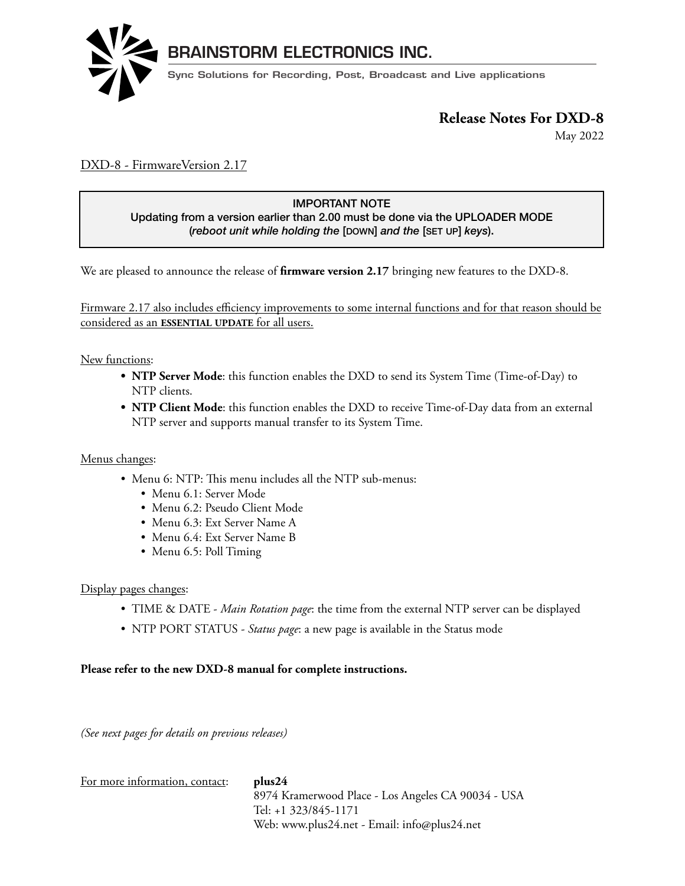

May 2022 **Release Notes for DXD-16**

### DXD-8 - FirmwareVersion 2.17

## Updating from a version earlier than 2.00 must be done via the UPLOADER MODE<br>Capacity with the later the Inquiries and the Israel (aug) IMPORTANT NOTE

(*reboot unit while holding the* [DOWN] *and the* [SET UP] *keys*).

We are pleased to announce the release of *firmware version* 2.17 bringing new features to the DXD-8.

<u>Firmware 2.17 also includes efficiency improvements to some internal functions and for that reason should be</u> considered as an **ESSENTIAL UPDATE** for all users.

New functions:  $\Delta$  functions: update will be  $\Delta$  and  $\Delta$  and  $\Delta$  and  $\Delta$  will fit in an approximation  $\Delta$ 

- **NTP Server Mode**: this function enables the DXD to send its System Time (Time-of-Day) to NTP clients.
- **NTP Client Mode**: this function enables the DXD to receive Time-of-Day data from an external NTP server and supports manual transfer to its System Time.

## ${\bf Menus\ changes:}$

- $\bullet$  Menu 6: NTP: This menu includes all the NTP sub-menus:
	- Menu 6.1: Server Mode  $\bullet$  Menu 0.1: Server Midde
		- Menu 6.2: Pseudo Client Mode
	- Menu 6.2. I seudo Chem Mode<br>• Menu 6.3: Ext Server Name A
- Menu 6.4: Ext Server Name B  $\mathcal{L}$
- Menu 6.5: Poll Timing

#### Display pages changes: 373

- TIME & DATE *Main Rotation page*: the time from the external NTP server can be displayed  $\frac{80}{\pi}$
- NTP PORT STATUS *Status page*: a new page is available in the Status mode

## Please refer to the new DXD-8 manual for complete instructions.

(See next pages for details on previous releases)

For more information, contact: **plus24**

8974 Kramerwood Place - Los Angeles CA 90034 - USA Tel: +1 323/845-1171 Web: www.plus24.net - Email: info@plus24.net <sup>1</sup>Holden in the second term in the second term in the second term in the second term in the second term in the second term in the second term in the second term in the second term in the second term in the second term in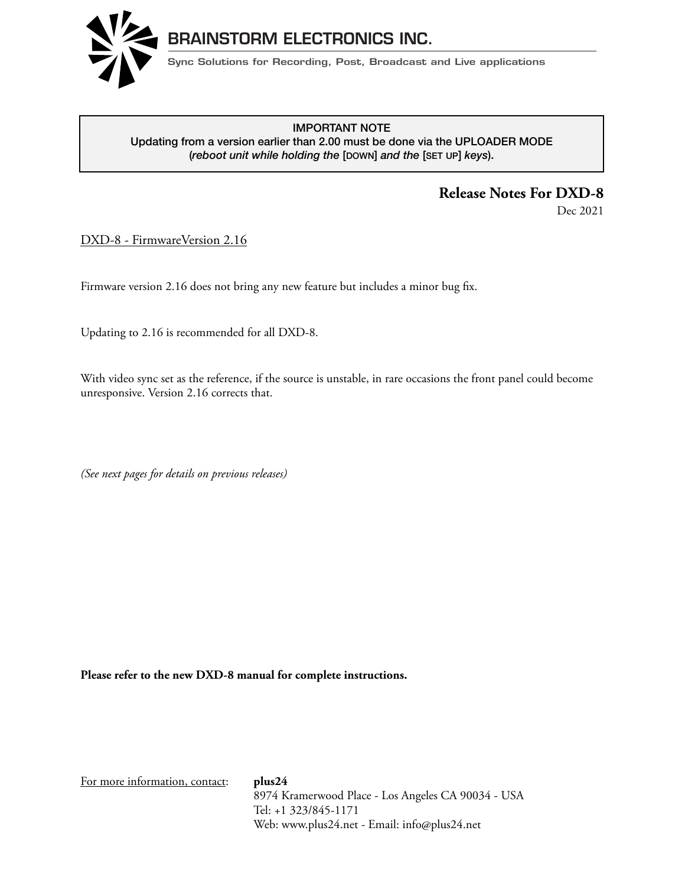

#### **RELEASE TRELASH INDIE<br>Updating from a version earlier than 2.00 must be done via the UPLOADER MODE** IMPORTANT NOTE (*reboot unit while holding the* [DOWN] *and the* [SET UP] *keys*).

## **Release Notes For DXD-8**

Dec 2021

DXD-8 - FirmwareVersion 2.16

Firmware version 2.16 does not bring any new feature but includes a minor bug fix. locked to it is internal crystal or to a large selection of the 16 universal references. The 16 universal output

Updating to 2.16 is recommended for all DXD-8. versatile.

With video sync set as the reference, if the source is unstable, in rare occasions the front panel could become unresponsive. Version 2.16 corrects that.  $\mathcal{L}$ 

0DQXDOSDJH8SFRPLQJUHYLVLRQVZLOODGGIXQFWLRQVWRWKHZHESDJHVXFKDVPRQLWRULQJWKH';'

(See next pages for details on previous releases)

Please refer to the new DXD-8 manual for complete instructions.

For more information, contact: **plus24**

8974 Kramerwood Place - Los Angeles CA 90034 - USA Tel:  $+1$  323/845-1171 Web: www.plus24.net - Email: info@plus24.net  $\mathbf{I}$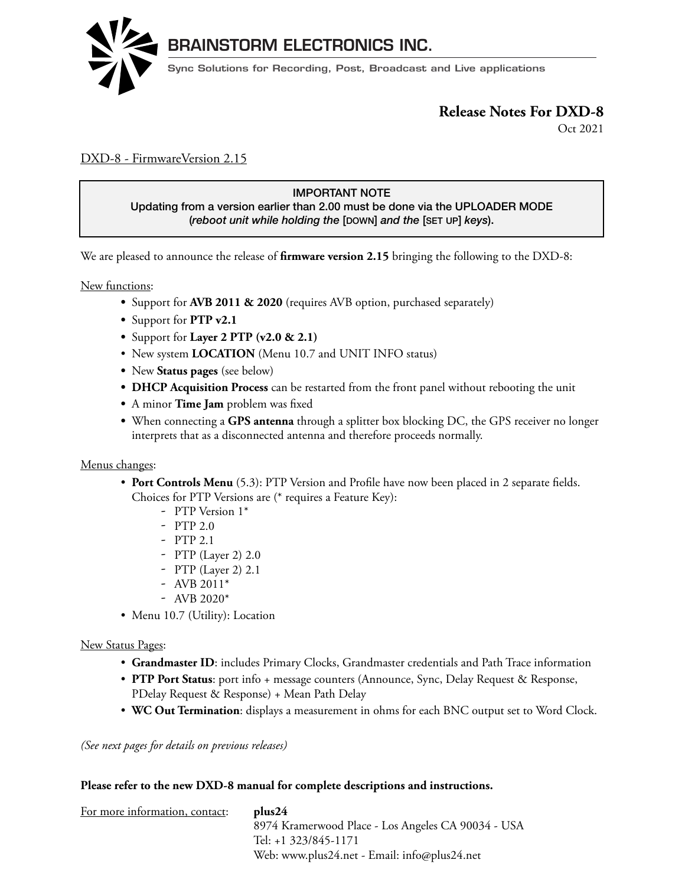

Oct 2021

### DXD-8 - FirmwareVersion 2.15

## IMPORTANT NOTE

Updating from a version earlier than 2.00 must be done via the UPLOADER MODE (*reboot unit while holding the* [DOWN] *and the* [SET UP] *keys*). DXD-16 - Firmware version 1.06

We are pleased to announce the release of **firmware version 2.15** bringing the following to the DXD-8:

New functions: The DIMD-16 is a precision multiple generator. It can generate a whole range of reference generators. It can generate a whole range of references either  $\alpha$  and  $\alpha$  and  $\alpha$  and  $\alpha$  and  $\alpha$  and  $\alpha$  and  $\alpha$  and  $\alpha$  a

- Support for **AVB 2011 & 2020** (requires AVB option, purchased separately)
- Support for **PTP v2.1**
- Support for Layer 2 PTP  $(v2.0 \& 2.1)$
- $\bullet$  New system **LOCATION** (Menu 10.7 and UNIT INFO status)
- **•** New Status pages (see below)
- **DHCP Acquisition Process** can be restarted from the front panel without rebooting the unit
- A minor **Time Jam** problem was fixed
	- **•** When connecting a **GPS antenna** through a splitter box blocking DC, the GPS receiver no longer interprets that as a disconnected antenna and therefore proceeds normally.

#### Menus changes: **FEATURES TO BE IMPLEMENTED IN UPCOMING UPDATES.**

- Port Controls Menu (5.3): PTP Version and Profile have now been placed in 2 separate fields. Choices for PTP Versions are (\* requires a Feature Key):
	- PTP Version 1<sup>\*</sup>
		- PTP 2.0
- $-$  PTP 2.1
- $-$  PTP (Layer 2) 2.0
	- PTP (Layer 2) 2.1
	- AVB 2011\*
- $-$  AVB 2020<sup>\*</sup>
	- Menu 10.7 (Utility): Location

#### New Status Pages:

- Grandmaster ID: includes Primary Clocks, Grandmaster credentials and Path Trace information
- **PTP Port Status**: port info + message counters (Announce, Sync, Delay Request & Response, **Path Fort Status:** Port line Thessage counters (Announce, Syne, Delay Request & Response,
	- WC Out Termination: displays a measurement in ohms for each BNC output set to Word Clock. we can refinimation, displays a measurement in omns for each DIAC

*(See next pages for details on previous releases)*

#### **Please refer to the new DXD-8 manual for complete descriptions and instructions.**

| For more information, contact: | plus24                                             |
|--------------------------------|----------------------------------------------------|
|                                | 8974 Kramerwood Place - Los Angeles CA 90034 - USA |
|                                | Tel: +1 323/845-1171                               |
|                                | Web: www.plus24.net - Email: info@plus24.net       |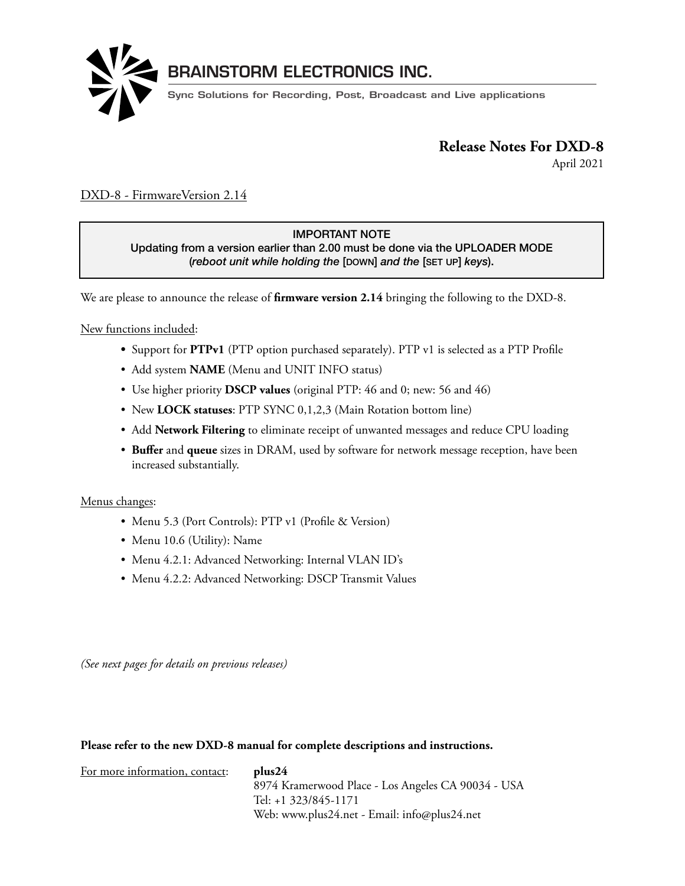

April 2021

### DXD-8 - FirmwareVersion 2.14

#### IMPORTANT NOTE

Updating from a version earlier than 2.00 must be done via the UPLOADER MODE (*reboot unit while holding the* [DOWN] *and the* [SET UP] *keys*).

We are please to announce the release of **firmware version 2.14** bringing the following to the DXD-8. We are pleased to announce the release of the DXD-16 along with **firmware version 1.0**6

#### New functions included:  $\frac{d}{dt}$

- Support for PTPv1 (PTP option purchased separately). PTP v1 is selected as a PTP Profile versatile.
	- Add system **NAME** (Menu and UNIT INFO status)
- Use higher priority **DSCP values** (original PTP: 46 and 0; new: 56 and 46) S Use inglier priority **DSCP** values (original  $T$  IT: 40 and 0; hew: 90 and 40)
	- New **LOCK statuses**: PTP SYNC 0,1,2,3 (Main Rotation bottom line)
- Add **Network Filtering** to eliminate receipt of unwanted messages and reduce CPU loading  $\mathbf{B}$  sure to register your units at will give you access to the 'DOWNLOAD'  $\mathbf{B}$ SUIT AND INCLUSTER THE THEFT
	- **Buffer** and **queue** sizes in DRAM, used by software for network message reception, have been increased substantially.

#### Menus changes: 5HPRWHFRQWUROWKH(WKHUQHWSRUWLVFXUUHQWO\XVHGIRUXSGDWLQJWKH';'ILUPZDUHRQO\VHH8VHU·V

- Menu 5.3 (Port Controls): PTP v1 (Profile & Version)
- Menu 10.6 (Utility): Name
- Menu 4.2.1: Advanced Networking: Internal VLAN ID's  $\overline{\mathbf{G}}$  $\sum_{i=1}^{\infty}$
- $\bullet\,$  Menu 4.2.2: Advanced Networking: DSCP Transmit Values

*(See next pages for details on previous releases)* **NEW In Version 1.06**  $\frac{1}{1}$   $\frac{1}{2}$   $\frac{1}{2}$   $\frac{1}{2}$   $\frac{1}{2}$   $\frac{1}{2}$   $\frac{1}{2}$   $\frac{1}{2}$   $\frac{1}{2}$   $\frac{1}{2}$   $\frac{1}{2}$   $\frac{1}{2}$   $\frac{1}{2}$   $\frac{1}{2}$   $\frac{1}{2}$   $\frac{1}{2}$   $\frac{1}{2}$   $\frac{1}{2}$   $\frac{1}{2}$   $\frac{1}{2}$   $\frac{1}{2}$   $\frac{1}{2}$ 

#### Please refer to the new DXD-8 manual for complete descriptions and instructions.

| For more information, contact: | plus24                                             |
|--------------------------------|----------------------------------------------------|
|                                | 8974 Kramerwood Place - Los Angeles CA 90034 - USA |
|                                | Tel: +1 323/845-1171                               |
|                                | Web: www.plus24.net - Email: info@plus24.net       |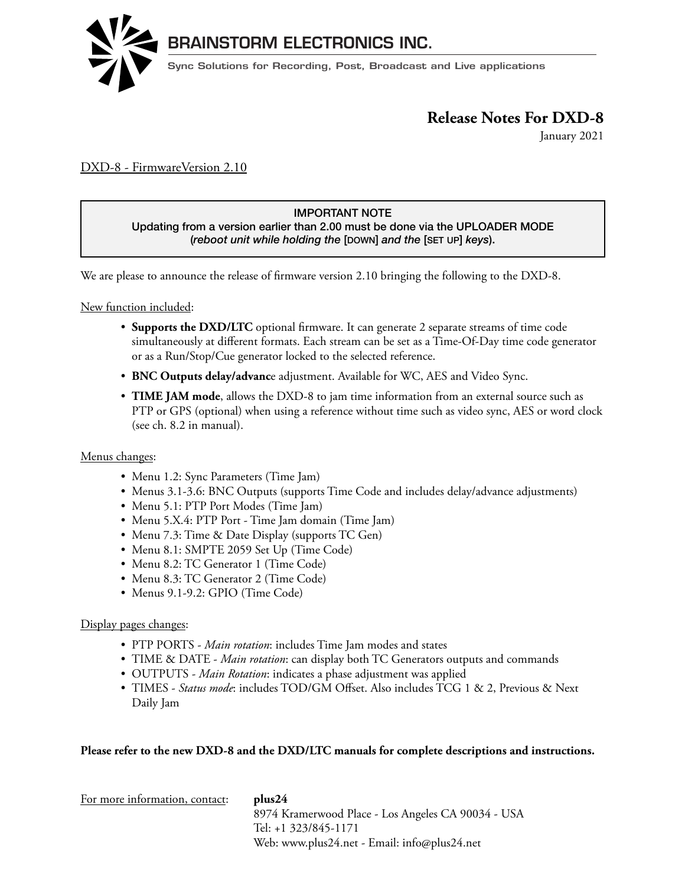

January 2021

### DXD-8 - FirmwareVersion 2.10

#### IMPORTANT NOTE

Updating from a version earlier than 2.00 must be done via the UPLOADER MODE (*reboot unit while holding the* [DOWN] *and the* [SET UP] *keys*).

We are please to announce the release of firmware version 2.10 bringing the following to the DXD-8.  $\frac{1}{\sigma}$  is a precision multiportation multiportation multiportation  $\sigma$ 

We are pleased to announce the release of the DXD-16 along with **firmware version 1.0**6

New function included: locked to it's internal crystal or to a large selection of external references. The 16 universal outputs can be  $\epsilon$  w function included.

- Supports the DXD/LTC optional firmware. It can generate 2 separate streams of time code simultaneously at different formats. Each stream can be set as a Time-Of-Day time code generator or as a Run/Stop/Cue generator locked to the selected reference.
- **BNC Outputs delay/advanc**e adjustment. Available for WC, AES and Video Sync. hybrid system either as a Grandmaster or as a PTP slave. PTP slave. PTP slave. PTP will be available in  $P$
- TIME JAM mode, allows the DXD-8 to jam time information from an external source such as PTP or GPS (optional) when using a reference without time such as video sync, AES or word clock (see ch. 8.2 in manual).

### ${\bf Menus\ changes:}$

- Menu 1.2: Sync Parameters (Time Jam)
	- Menus 3.1-3.6: BNC Outputs (supports Time Code and includes delay/advance adjustments)
	- Menu 5.1: PTP Port Modes (Time Jam)
- Menu 5.X.4: PTP Port Time Jam domain (Time Jam)
- $\bullet\,$  Menu 7.3: Time & Date Display (supports TC Gen)
- $\bullet\,$  Menu 8.1: SMPTE 2059 Set Up (Time Code)
- Menu 8.2: TC Generator 1 (Time Code)
	- Menu 8.3: TC Generator 2 (Time Code)
- Menus 9.1-9.2: GPIO (Time Code)

#### Display pages changes:

- PTP PORTS *Main rotation*: includes Time Jam modes and states
- TIME & DATE *Main rotation*: can display both TC Generators outputs and commands
	- OUTPUTS *Main Rotation*: indicates a phase adjustment was applied
- TIMES *Status mode*: includes TOD/GM Offset. Also includes TCG 1 & 2, Previous & Next Daily Jam  $1\mathrm{Rm}$

 $\mathcal{L}_{\mathbf{r}}$ 

#### **Please refer to the new DXD-8 and the DXD/LTC manuals for complete descriptions and instructions.**

| For more information, contact: | plus24                                             |
|--------------------------------|----------------------------------------------------|
|                                | 8974 Kramerwood Place - Los Angeles CA 90034 - USA |
|                                | Tel: +1 323/845-1171                               |
|                                | Web: www.plus24.net - Email: info@plus24.net       |